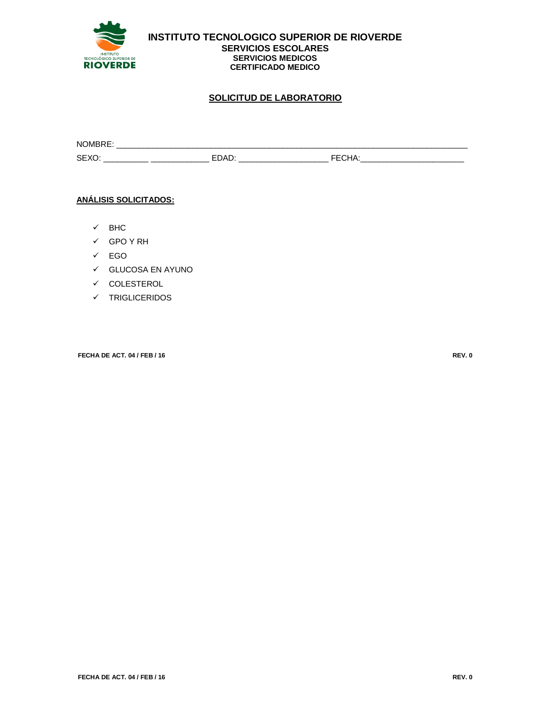

**INSTITUTO TECNOLOGICO SUPERIOR DE RIOVERDE SERVICIOS ESCOLARES SERVICIOS MEDICOS CERTIFICADO MEDICO**

## **SOLICITUD DE LABORATORIO**

| <b>NOMBR</b>  |  |  |
|---------------|--|--|
| $\sim$ $\sim$ |  |  |

#### **ANÁLISIS SOLICITADOS:**

- $\checkmark$  BHC
- GPO Y RH
- EGO
- GLUCOSA EN AYUNO
- $\checkmark$  COLESTEROL
- $\checkmark$  TRIGLICERIDOS

**FECHA DE ACT. 04 / FEB / 16 REV. 0**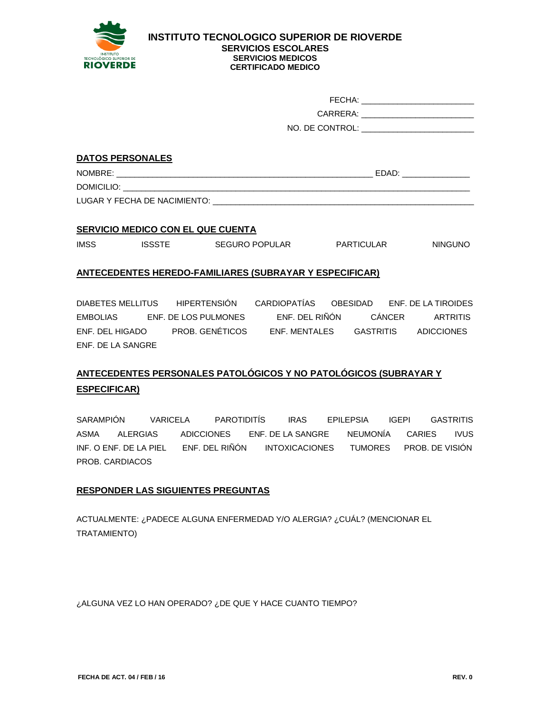

#### **INSTITUTO TECNOLOGICO SUPERIOR DE RIOVERDE SERVICIOS ESCOLARES SERVICIOS MEDICOS CERTIFICADO MEDICO**

| FECHA:          |  |
|-----------------|--|
| CARRERA:        |  |
| NO. DE CONTROL: |  |

#### **DATOS PERSONALES**

NOMBRE: \_\_\_\_\_\_\_\_\_\_\_\_\_\_\_\_\_\_\_\_\_\_\_\_\_\_\_\_\_\_\_\_\_\_\_\_\_\_\_\_\_\_\_\_\_\_\_\_\_\_\_\_\_\_\_\_\_ EDAD: \_\_\_\_\_\_\_\_\_\_\_\_\_\_\_

DOMICILIO:

LUGAR Y FECHA DE NACIMIENTO:

#### **SERVICIO MEDICO CON EL QUE CUENTA**

IMSS ISSSTE SEGURO POPULAR PARTICULAR NINGUNO

### **ANTECEDENTES HEREDO-FAMILIARES (SUBRAYAR Y ESPECIFICAR)**

DIABETES MELLITUS HIPERTENSIÓN CARDIOPATÍAS OBESIDAD ENF. DE LA TIROIDES EMBOLIAS ENF. DE LOS PULMONES ENF. DEL RIÑÓN CÁNCER ARTRITIS ENF. DEL HIGADO PROB. GENÉTICOS ENF. MENTALES GASTRITIS ADICCIONES ENF. DE LA SANGRE

# **ANTECEDENTES PERSONALES PATOLÓGICOS Y NO PATOLÓGICOS (SUBRAYAR Y ESPECIFICAR)**

SARAMPIÓN VARICELA PAROTIDITÍS IRAS EPILEPSIA IGEPI GASTRITIS ASMA ALERGIAS ADICCIONES ENF. DE LA SANGRE NEUMONÍA CARIES IVUS INF. O ENF. DE LA PIEL ENF. DEL RIÑÓN INTOXICACIONES TUMORES PROB. DE VISIÓN PROB. CARDIACOS

## **RESPONDER LAS SIGUIENTES PREGUNTAS**

ACTUALMENTE: ¿PADECE ALGUNA ENFERMEDAD Y/O ALERGIA? ¿CUÁL? (MENCIONAR EL TRATAMIENTO)

¿ALGUNA VEZ LO HAN OPERADO? ¿DE QUE Y HACE CUANTO TIEMPO?